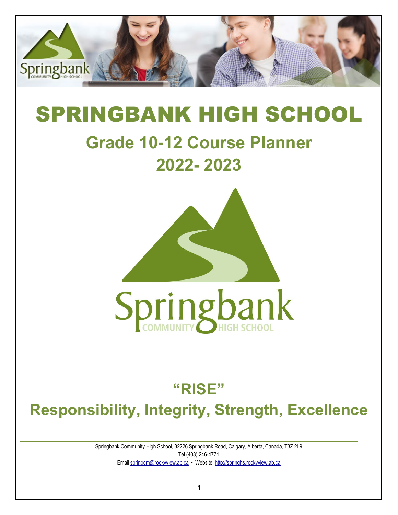

# SPRINGBANK HIGH SCHOOL

# **Grade 10-12 Course Planner 2022- 2023**



# **"RISE"**

# **Responsibility, Integrity, Strength, Excellence**

Springbank Community High School, 32226 Springbank Road, Calgary, Alberta, Canada, T3Z 2L9 Tel (403) 246-4771 Email [springcm@rockyview.ab.ca](mailto:springcm@rockyview.ab.ca) • Website [http://springhs.rockyview.ab.ca](http://springhs.rockyview.ab.ca/)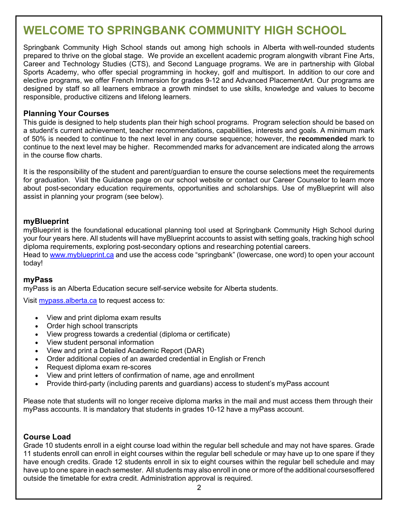# **WELCOME TO SPRINGBANK COMMUNITY HIGH SCHOOL**

Springbank Community High School stands out among high schools in Alberta with well-rounded students prepared to thrive on the global stage. We provide an excellent academic program alongwith vibrant Fine Arts, Career and Technology Studies (CTS), and Second Language programs. We are in partnership with Global Sports Academy, who offer special programming in hockey, golf and multisport. In addition to our core and elective programs, we offer French Immersion for grades 9-12 and Advanced PlacementArt. Our programs are designed by staff so all learners embrace a growth mindset to use skills, knowledge and values to become responsible, productive citizens and lifelong learners.

#### **Planning Your Courses**

This guide is designed to help students plan their high school programs. Program selection should be based on a student's current achievement, teacher recommendations, capabilities, interests and goals. A minimum mark of 50% is needed to continue to the next level in any course sequence; however, the **recommended** mark to continue to the next level may be higher. Recommended marks for advancement are indicated along the arrows in the course flow charts.

It is the responsibility of the student and parent/guardian to ensure the course selections meet the requirements for graduation. Visit the Guidance page on our school website or contact our Career Counselor to learn more about post-secondary education requirements, opportunities and scholarships. Use of myBlueprint will also assist in planning your program (see below).

#### **myBlueprint**

myBlueprint is the foundational educational planning tool used at Springbank Community High School during your four years here. All students will have myBlueprint accounts to assist with setting goals, tracking high school diploma requirements, exploring post-secondary options and researching potential careers.

Head to [www.myblueprint.ca](http://www.myblueprint.ca/) and use the access code "springbank" (lowercase, one word) to open your account today!

#### **myPass**

myPass is an Alberta Education secure self-service website for Alberta students.

Visit [mypass.alberta.ca](https://mypass.alberta.ca/) to request access to:

- View and print diploma exam results
- Order high school transcripts
- View progress towards a credential (diploma or certificate)
- View student personal information
- View and print a Detailed Academic Report (DAR)
- Order additional copies of an awarded credential in English or French
- Request diploma exam re-scores
- View and print letters of confirmation of name, age and enrollment
- Provide third-party (including parents and guardians) access to student's myPass account

Please note that students will no longer receive diploma marks in the mail and must access them through their myPass accounts. It is mandatory that students in grades 10-12 have a myPass account.

#### **Course Load**

Grade 10 students enroll in a eight course load within the regular bell schedule and may not have spares. Grade 11 students enroll can enroll in eight courses within the regular bell schedule or may have up to one spare if they have enough credits. Grade 12 students enroll in six to eight courses within the regular bell schedule and may have up to one spare in each semester. All students may also enroll in one or more of the additional coursesoffered outside the timetable for extra credit. Administration approval is required.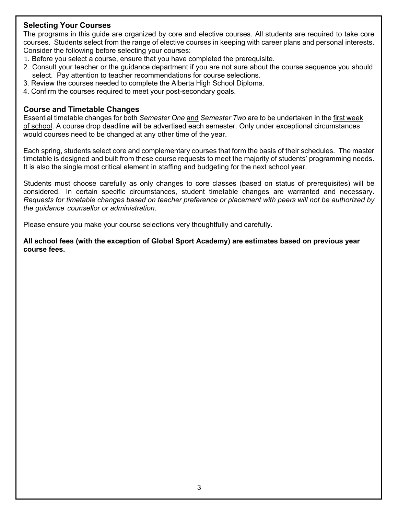#### **Selecting Your Courses**

The programs in this guide are organized by core and elective courses. All students are required to take core courses. Students select from the range of elective courses in keeping with career plans and personal interests. Consider the following before selecting your courses:

- 1. Before you select a course, ensure that you have completed the prerequisite.
- 2. Consult your teacher or the guidance department if you are not sure about the course sequence you should select. Pay attention to teacher recommendations for course selections.
- 3. Review the courses needed to complete the Alberta High School Diploma.
- 4. Confirm the courses required to meet your post-secondary goals.

#### **Course and Timetable Changes**

Essential timetable changes for both *Semester One* and *Semester Two* are to be undertaken in the first week of school. A course drop deadline will be advertised each semester. Only under exceptional circumstances would courses need to be changed at any other time of the year.

Each spring, students select core and complementary courses that form the basis of their schedules. The master timetable is designed and built from these course requests to meet the majority of students' programming needs. It is also the single most critical element in staffing and budgeting for the next school year.

Students must choose carefully as only changes to core classes (based on status of prerequisites) will be considered. In certain specific circumstances, student timetable changes are warranted and necessary. *Requests for timetable changes based on teacher preference or placement with peers will not be authorized by the guidance counsellor or administration.*

Please ensure you make your course selections very thoughtfully and carefully.

**All school fees (with the exception of Global Sport Academy) are estimates based on previous year course fees.**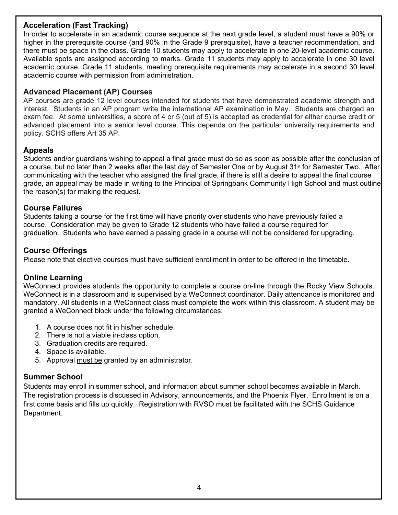#### **Acceleration (Fast Tracking)**

In order to accelerate in an academic course sequence at the next grade level, a student must have a 90% or higher in the prerequisite course (and 90% in the Grade 9 prerequisite), have a teacher recommendation, and there must be space in the class. Grade 10 students may apply to accelerate in one 20-level academic course. Available spots are assigned according to marks. Grade 11 students may apply to accelerate in one 30 level academic course. Grade 11 students, meeting prerequisite requirements may accelerate in a second 30 level academic course with permission from administration.

#### **Advanced Placement (AP) Courses**

AP courses are grade 12 level courses intended for students that have demonstrated academic strength and interest. Students in an AP program write the international AP examination in May. Students are charged an exam fee. At some universities, a score of 4 or 5 (out of 5) is accepted as credential for either course credit or advanced placement into a senior level course. This depends on the particular university requirements and policy. SCHS offers Art 35 AP.

#### **Appeals**

Students and/or guardians wishing to appeal a final grade must do so as soon as possible after the conclusion of a course, but no later than 2 weeks after the last day of Semester One or by August 31<sup>st</sup> for Semester Two. After communicating with the teacher who assigned the final grade, if there is still a desire to appeal the final course grade, an appeal may be made in writing to the Principal of Springbank Community High School and must outline the reason(s) for making the request.

#### **Course Failures**

Students taking a course for the first time will have priority over students who have previously failed a course. Consideration may be given to Grade 12 students who have failed a course required for graduation. Students who have earned a passing grade in a course will not be considered for upgrading.

#### **Course Offerings**

Please note that elective courses must have sufficient enrollment in order to be offered in the timetable.

#### **Online Learning**

WeConnect provides students the opportunity to complete a course on-line through the Rocky View Schools. WeConnect is in a classroom and is supervised by a WeConnect coordinator. Daily attendance is monitored and mandatory. All students in a WeConnect class must complete the work within this classroom. A student may be granted a WeConnect block under the following circumstances:

- 1. A course does not fit in his/her schedule.
- 2. There is not a viable in-class option.
- 3. Graduation credits are required.
- 4. Space is available.
- 5. Approval must be granted by an administrator.

#### **Summer School**

Students may enroll in summer school, and information about summer school becomes available in March. The registration process is discussed in Advisory, announcements, and the Phoenix Flyer. Enrollment is on a first come basis and fills up quickly. Registration with RVSO must be facilitated with the SCHS Guidance Department.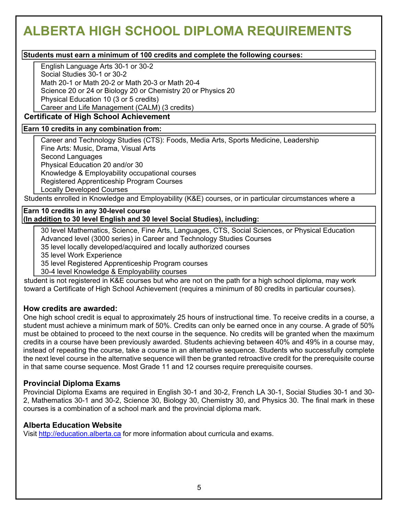# **ALBERTA HIGH SCHOOL DIPLOMA REQUIREMENTS**

#### **Students must earn a minimum of 100 credits and complete the following courses:**

English Language Arts 30-1 or 30-2

Social Studies 30-1 or 30-2

Math 20-1 or Math 20-2 or Math 20-3 or Math 20-4

Science 20 or 24 or Biology 20 or Chemistry 20 or Physics 20

Physical Education 10 (3 or 5 credits)

Career and Life Management (CALM) (3 credits)

#### **Certificate of High School Achievement**

#### **Earn 10 credits in any combination from:**

Career and Technology Studies (CTS): Foods, Media Arts, Sports Medicine, Leadership Fine Arts: Music, Drama, Visual Arts Second Languages Physical Education 20 and/or 30 Knowledge & Employability occupational courses Registered Apprenticeship Program Courses

Locally Developed Courses

Students enrolled in Knowledge and Employability (K&E) courses, or in particular circumstances where a

#### **Earn 10 credits in any 30-level course (In addition to 30 level English and 30 level Social Studies), including:**

30 level Mathematics, Science, Fine Arts, Languages, CTS, Social Sciences, or Physical Education Advanced level (3000 series) in Career and Technology Studies Courses

35 level locally developed/acquired and locally authorized courses

35 level Work Experience

35 level Registered Apprenticeship Program courses

30-4 level Knowledge & Employability courses

student is not registered in K&E courses but who are not on the path for a high school diploma, may work toward a Certificate of High School Achievement (requires a minimum of 80 credits in particular courses).

#### **How credits are awarded:**

One high school credit is equal to approximately 25 hours of instructional time. To receive credits in a course, a student must achieve a minimum mark of 50%. Credits can only be earned once in any course. A grade of 50% must be obtained to proceed to the next course in the sequence. No credits will be granted when the maximum credits in a course have been previously awarded. Students achieving between 40% and 49% in a course may, instead of repeating the course, take a course in an alternative sequence. Students who successfully complete the next level course in the alternative sequence will then be granted retroactive credit for the prerequisite course in that same course sequence. Most Grade 11 and 12 courses require prerequisite courses.

#### **Provincial Diploma Exams**

Provincial Diploma Exams are required in English 30-1 and 30-2, French LA 30-1, Social Studies 30-1 and 30- 2, Mathematics 30-1 and 30-2, Science 30, Biology 30, Chemistry 30, and Physics 30. The final mark in these courses is a combination of a school mark and the provincial diploma mark.

#### **Alberta Education Website**

Visit [http://education.alberta.ca](http://education.alberta.ca/) for more information about curricula and exams.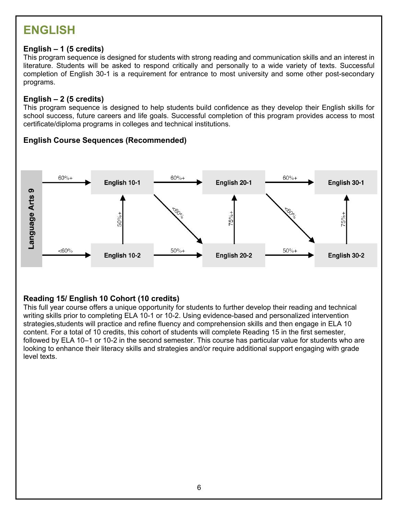# **ENGLISH**

#### **English – 1 (5 credits)**

This program sequence is designed for students with strong reading and communication skills and an interest in literature. Students will be asked to respond critically and personally to a wide variety of texts. Successful completion of English 30-1 is a requirement for entrance to most university and some other post-secondary programs.

#### **English – 2 (5 credits)**

This program sequence is designed to help students build confidence as they develop their English skills for school success, future careers and life goals. Successful completion of this program provides access to most certificate/diploma programs in colleges and technical institutions.

#### **English Course Sequences (Recommended)**



#### **Reading 15/ English 10 Cohort (10 credits)**

This full year course offers a unique opportunity for students to further develop their reading and technical writing skills prior to completing ELA 10-1 or 10-2. Using evidence-based and personalized intervention strategies,students will practice and refine fluency and comprehension skills and then engage in ELA 10 content. For a total of 10 credits, this cohort of students will complete Reading 15 in the first semester, followed by ELA 10–1 or 10-2 in the second semester. This course has particular value for students who are looking to enhance their literacy skills and strategies and/or require additional support engaging with grade level texts.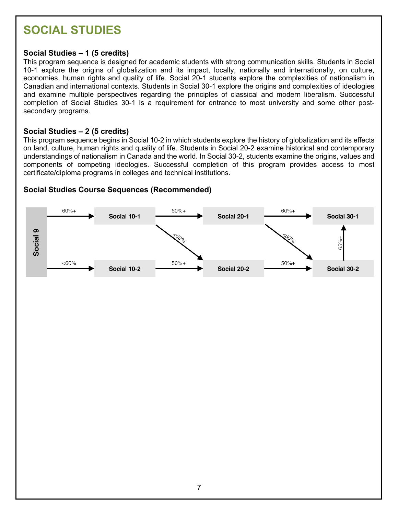# **SOCIAL STUDIES**

#### **Social Studies – 1 (5 credits)**

This program sequence is designed for academic students with strong communication skills. Students in Social 10-1 explore the origins of globalization and its impact, locally, nationally and internationally, on culture, economies, human rights and quality of life. Social 20-1 students explore the complexities of nationalism in Canadian and international contexts. Students in Social 30-1 explore the origins and complexities of ideologies and examine multiple perspectives regarding the principles of classical and modern liberalism. Successful completion of Social Studies 30-1 is a requirement for entrance to most university and some other postsecondary programs.

#### **Social Studies – 2 (5 credits)**

This program sequence begins in Social 10-2 in which students explore the history of globalization and its effects on land, culture, human rights and quality of life. Students in Social 20-2 examine historical and contemporary understandings of nationalism in Canada and the world. In Social 30-2, students examine the origins, values and components of competing ideologies. Successful completion of this program provides access to most certificate/diploma programs in colleges and technical institutions.

#### **Social Studies Course Sequences (Recommended)**

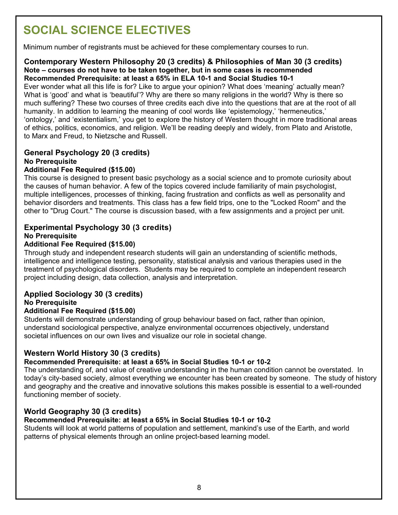# **SOCIAL SCIENCE ELECTIVES**

Minimum number of registrants must be achieved for these complementary courses to run.

#### **Contemporary Western Philosophy 20 (3 credits) & Philosophies of Man 30 (3 credits) Note – courses do not have to be taken together, but in some cases is recommended Recommended Prerequisite: at least a 65% in ELA 10-1 and Social Studies 10-1**

Ever wonder what all this life is for? Like to argue your opinion? What does 'meaning' actually mean? What is 'good' and what is 'beautiful'? Why are there so many religions in the world? Why is there so much suffering? These two courses of three credits each dive into the questions that are at the root of all humanity. In addition to learning the meaning of cool words like 'epistemology,' 'hermeneutics,' 'ontology,' and 'existentialism,' you get to explore the history of Western thought in more traditional areas of ethics, politics, economics, and religion. We'll be reading deeply and widely, from Plato and Aristotle, to Marx and Freud, to Nietzsche and Russell.

#### **General Psychology 20 (3 credits) No Prerequisite Additional Fee Required (\$15.00)**

This course is designed to present basic psychology as a social science and to promote curiosity about the causes of human behavior. A few of the topics covered include familiarity of main psychologist, multiple intelligences, processes of thinking, facing frustration and conflicts as well as personality and behavior disorders and treatments. This class has a few field trips, one to the "Locked Room" and the other to "Drug Court." The course is discussion based, with a few assignments and a project per unit.

#### **Experimental Psychology 30 (3 credits) No Prerequisite**

#### **Additional Fee Required (\$15.00)**

Through study and independent research students will gain an understanding of scientific methods, intelligence and intelligence testing, personality, statistical analysis and various therapies used in the treatment of psychological disorders. Students may be required to complete an independent research project including design, data collection, analysis and interpretation.

#### **Applied Sociology 30 (3 credits) No Prerequisite**

#### **Additional Fee Required (\$15.00)**

Students will demonstrate understanding of group behaviour based on fact, rather than opinion, understand sociological perspective, analyze environmental occurrences objectively, understand societal influences on our own lives and visualize our role in societal change.

#### **Western World History 30 (3 credits)**

#### **Recommended Prerequisite: at least a 65% in Social Studies 10-1 or 10-2**

The understanding of, and value of creative understanding in the human condition cannot be overstated. In today's city-based society, almost everything we encounter has been created by someone. The study of history and geography and the creative and innovative solutions this makes possible is essential to a well-rounded functioning member of society.

#### **World Geography 30 (3 credits)**

#### **Recommended Prerequisite: at least a 65% in Social Studies 10-1 or 10-2**

Students will look at world patterns of population and settlement, mankind's use of the Earth, and world patterns of physical elements through an online project-based learning model.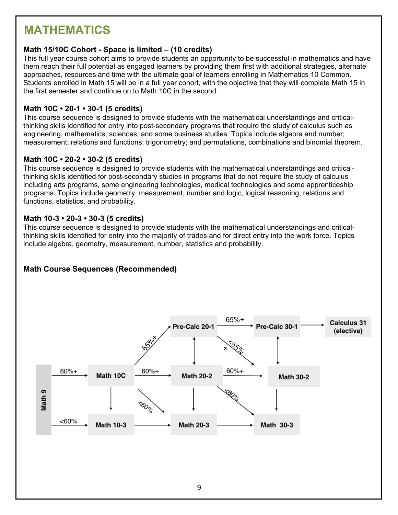# **MATHEMATICS**

#### **Math 15/10C Cohort - Space is limited – (10 credits)**

This full year course cohort aims to provide students an opportunity to be successful in mathematics and have them reach their full potential as engaged learners by providing them first with additional strategies, alternate approaches, resources and time with the ultimate goal of learners enrolling in Mathematics 10 Common. Students enrolled in Math 15 will be in a full year cohort, with the objective that they will complete Math 15 in the first semester and continue on to Math 10C in the second.

#### **Math 10C • 20-1 • 30-1 (5 credits)**

This course sequence is designed to provide students with the mathematical understandings and criticalthinking skills identified for entry into post-secondary programs that require the study of calculus such as engineering, mathematics, sciences, and some business studies. Topics include algebra and number; measurement; relations and functions; trigonometry; and permutations, combinations and binomial theorem.

#### **Math 10C • 20-2 • 30-2 (5 credits)**

This course sequence is designed to provide students with the mathematical understandings and criticalthinking skills identified for post-secondary studies in programs that do not require the study of calculus including arts programs, some engineering technologies, medical technologies and some apprenticeship programs. Topics include geometry, measurement, number and logic, logical reasoning, relations and functions, statistics, and probability.

#### **Math 10-3 • 20-3 • 30-3 (5 credits)**

This course sequence is designed to provide students with the mathematical understandings and criticalthinking skills identified for entry into the majority of trades and for direct entry into the work force. Topics include algebra, geometry, measurement, number, statistics and probability.

#### **Math Course Sequences (Recommended)**

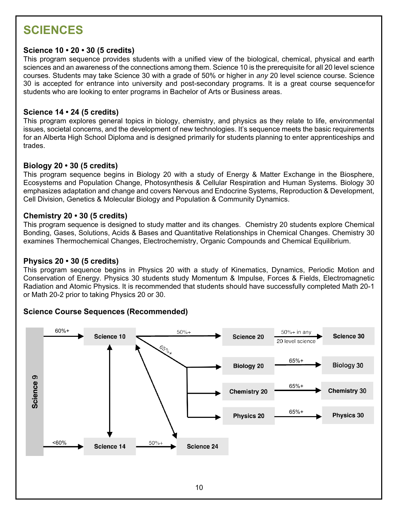# **SCIENCES**

#### **Science 10 • 20 • 30 (5 credits)**

This program sequence provides students with a unified view of the biological, chemical, physical and earth sciences and an awareness of the connections among them. Science 10 is the prerequisite for all 20 level science courses. Students may take Science 30 with a grade of 50% or higher in *any* 20 level science course. Science 30 is accepted for entrance into university and post-secondary programs. It is a great course sequencefor students who are looking to enter programs in Bachelor of Arts or Business areas.

#### **Science 14 • 24 (5 credits)**

This program explores general topics in biology, chemistry, and physics as they relate to life, environmental issues, societal concerns, and the development of new technologies. It's sequence meets the basic requirements for an Alberta High School Diploma and is designed primarily for students planning to enter apprenticeships and trades.

#### **Biology 20 • 30 (5 credits)**

This program sequence begins in Biology 20 with a study of Energy & Matter Exchange in the Biosphere, Ecosystems and Population Change, Photosynthesis & Cellular Respiration and Human Systems. Biology 30 emphasizes adaptation and change and covers Nervous and Endocrine Systems, Reproduction & Development, Cell Division, Genetics & Molecular Biology and Population & Community Dynamics.

#### **Chemistry 20 • 30 (5 credits)**

This program sequence is designed to study matter and its changes. Chemistry 20 students explore Chemical Bonding, Gases, Solutions, Acids & Bases and Quantitative Relationships in Chemical Changes. Chemistry 30 examines Thermochemical Changes, Electrochemistry, Organic Compounds and Chemical Equilibrium.

#### **Physics 20 • 30 (5 credits)**

This program sequence begins in Physics 20 with a study of Kinematics, Dynamics, Periodic Motion and Conservation of Energy. Physics 30 students study Momentum & Impulse, Forces & Fields, Electromagnetic Radiation and Atomic Physics. It is recommended that students should have successfully completed Math 20-1 or Math 20-2 prior to taking Physics 20 or 30.

#### **Science Course Sequences (Recommended)**

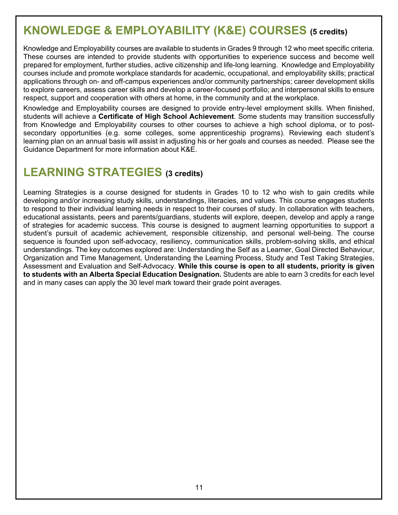# **KNOWLEDGE & EMPLOYABILITY (K&E) COURSES (5 credits)**

Knowledge and Employability courses are available to students in Grades 9 through 12 who meet specific criteria. These courses are intended to provide students with opportunities to experience success and become well prepared for employment, further studies, active citizenship and life-long learning. Knowledge and Employability courses include and promote workplace standards for academic, occupational, and employability skills; practical applications through on- and off-campus experiences and/or community partnerships; career development skills to explore careers, assess career skills and develop a career-focused portfolio; and interpersonal skills to ensure respect, support and cooperation with others at home, in the community and at the workplace.

Knowledge and Employability courses are designed to provide entry-level employment skills. When finished, students will achieve a **Certificate of High School Achievement**. Some students may transition successfully from Knowledge and Employability courses to other courses to achieve a high school diploma, or to postsecondary opportunities (e.g. some colleges, some apprenticeship programs). Reviewing each student's learning plan on an annual basis will assist in adjusting his or her goals and courses as needed. Please see the Guidance Department for more information about K&E.

## **LEARNING STRATEGIES (3 credits)**

Learning Strategies is a course designed for students in Grades 10 to 12 who wish to gain credits while developing and/or increasing study skills, understandings, literacies, and values. This course engages students to respond to their individual learning needs in respect to their courses of study. In collaboration with teachers, educational assistants, peers and parents/guardians, students will explore, deepen, develop and apply a range of strategies for academic success. This course is designed to augment learning opportunities to support a student's pursuit of academic achievement, responsible citizenship, and personal well-being. The course sequence is founded upon self-advocacy, resiliency, communication skills, problem-solving skills, and ethical understandings. The key outcomes explored are: Understanding the Self as a Learner, Goal Directed Behaviour, Organization and Time Management, Understanding the Learning Process, Study and Test Taking Strategies, Assessment and Evaluation and Self-Advocacy. **While this course is open to all students, priority is given to students with an Alberta Special Education Designation.** Students are able to earn 3 credits for each level and in many cases can apply the 30 level mark toward their grade point averages.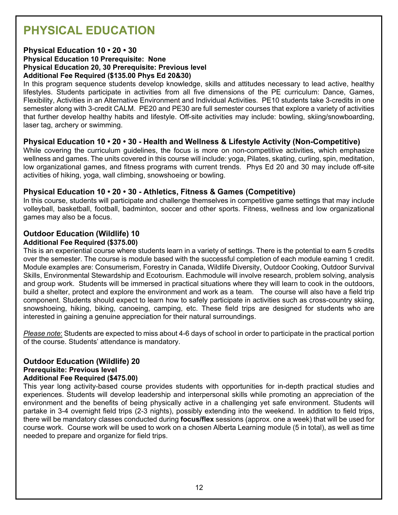# **PHYSICAL EDUCATION**

#### **Physical Education 10 • 20 • 30**

#### **Physical Education 10 Prerequisite: None Physical Education 20, 30 Prerequisite: Previous level Additional Fee Required (\$135.00 Phys Ed 20&30)**

In this program sequence students develop knowledge, skills and attitudes necessary to lead active, healthy lifestyles. Students participate in activities from all five dimensions of the PE curriculum: Dance, Games, Flexibility, Activities in an Alternative Environment and Individual Activities. PE10 students take 3-credits in one semester along with 3-credit CALM. PE20 and PE30 are full semester courses that explore a variety of activities that further develop healthy habits and lifestyle. Off-site activities may include: bowling, skiing/snowboarding, laser tag, archery or swimming.

#### **Physical Education 10 • 20 • 30 - Health and Wellness & Lifestyle Activity (Non-Competitive)**

While covering the curriculum guidelines, the focus is more on non-competitive activities, which emphasize wellness and games. The units covered in this course will include: yoga, Pilates, skating, curling, spin, meditation, low organizational games, and fitness programs with current trends. Phys Ed 20 and 30 may include off-site activities of hiking, yoga, wall climbing, snowshoeing or bowling.

#### **Physical Education 10 • 20 • 30 - Athletics, Fitness & Games (Competitive)**

In this course, students will participate and challenge themselves in competitive game settings that may include volleyball, basketball, football, badminton, soccer and other sports. Fitness, wellness and low organizational games may also be a focus.

#### **Outdoor Education (Wildlife) 10 Additional Fee Required (\$375.00)**

#### This is an experiential course where students learn in a variety of settings. There is the potential to earn 5 credits over the semester. The course is module based with the successful completion of each module earning 1 credit. Module examples are: Consumerism, Forestry in Canada, Wildlife Diversity, Outdoor Cooking, Outdoor Survival Skills, Environmental Stewardship and Ecotourism. Eachmodule will involve research, problem solving, analysis and group work. Students will be immersed in practical situations where they will learn to cook in the outdoors, build a shelter, protect and explore the environment and work as a team. The course will also have a field trip component. Students should expect to learn how to safely participate in activities such as cross-country skiing, snowshoeing, hiking, biking, canoeing, camping, etc. These field trips are designed for students who are interested in gaining a genuine appreciation for their natural surroundings.

*Please note*: Students are expected to miss about 4-6 days of school in order to participate in the practical portion of the course. Students' attendance is mandatory.

#### **Outdoor Education (Wildlife) 20**

#### **Prerequisite: Previous level**

#### **Additional Fee Required (\$475.00)**

This year long activity-based course provides students with opportunities for in-depth practical studies and experiences. Students will develop leadership and interpersonal skills while promoting an appreciation of the environment and the benefits of being physically active in a challenging yet safe environment. Students will partake in 3-4 overnight field trips (2-3 nights), possibly extending into the weekend. In addition to field trips, there will be mandatory classes conducted during **focus/flex** sessions (approx. one a week) that will be used for course work. Course work will be used to work on a chosen Alberta Learning module (5 in total), as well as time needed to prepare and organize for field trips.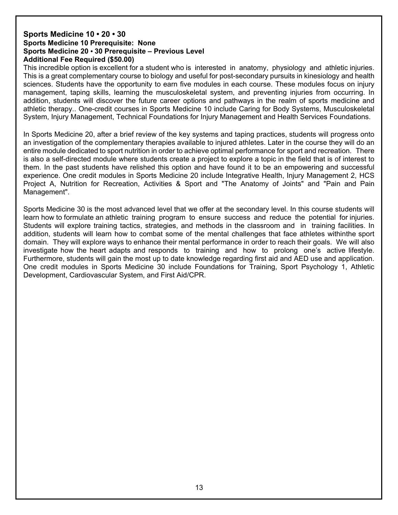#### **Sports Medicine 10 • 20 • 30 Sports Medicine 10 Prerequisite: None Sports Medicine 20 • 30 Prerequisite – Previous Level Additional Fee Required (\$50.00)**

This incredible option is excellent for a student who is interested in anatomy, physiology and athletic injuries. This is a great complementary course to biology and useful for post-secondary pursuits in kinesiology and health sciences. Students have the opportunity to earn five modules in each course. These modules focus on injury management, taping skills, learning the musculoskeletal system, and preventing injuries from occurring. In addition, students will discover the future career options and pathways in the realm of sports medicine and athletic therapy.. One-credit courses in Sports Medicine 10 include Caring for Body Systems, Musculoskeletal System, Injury Management, Technical Foundations for Injury Management and Health Services Foundations.

In Sports Medicine 20, after a brief review of the key systems and taping practices, students will progress onto an investigation of the complementary therapies available to injured athletes. Later in the course they will do an entire module dedicated to sport nutrition in order to achieve optimal performance for sport and recreation. There is also a self-directed module where students create a project to explore a topic in the field that is of interest to them. In the past students have relished this option and have found it to be an empowering and successful experience. One credit modules in Sports Medicine 20 include Integrative Health, Injury Management 2, HCS Project A, Nutrition for Recreation, Activities & Sport and "The Anatomy of Joints" and "Pain and Pain Management".

Sports Medicine 30 is the most advanced level that we offer at the secondary level. In this course students will learn how to formulate an athletic training program to ensure success and reduce the potential for injuries. Students will explore training tactics, strategies, and methods in the classroom and in training facilities. In addition, students will learn how to combat some of the mental challenges that face athletes withinthe sport domain. They will explore ways to enhance their mental performance in order to reach their goals. We will also investigate how the heart adapts and responds to training and how to prolong one's active lifestyle. Furthermore, students will gain the most up to date knowledge regarding first aid and AED use and application. One credit modules in Sports Medicine 30 include Foundations for Training, Sport Psychology 1, Athletic Development, Cardiovascular System, and First Aid/CPR.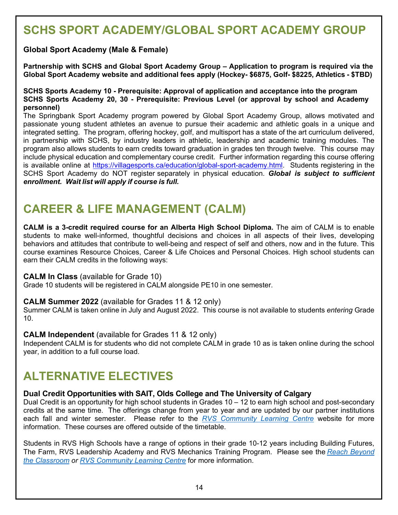# **SCHS SPORT ACADEMY/GLOBAL SPORT ACADEMY GROUP**

#### **Global Sport Academy (Male & Female)**

**Partnership with SCHS and Global Sport Academy Group – Application to program is required via the Global Sport Academy website and additional fees apply (Hockey- \$6875, Golf- \$8225, Athletics - \$TBD)**

#### **SCHS Sports Academy 10 - Prerequisite: Approval of application and acceptance into the program SCHS Sports Academy 20, 30 - Prerequisite: Previous Level (or approval by school and Academy personnel)**

The Springbank Sport Academy program powered by Global Sport Academy Group, allows motivated and passionate young student athletes an avenue to pursue their academic and athletic goals in a unique and integrated setting. The program, offering hockey, golf, and multisport has a state of the art curriculum delivered, in partnership with SCHS, by industry leaders in athletic, leadership and academic training modules. The program also allows students to earn credits toward graduation in grades ten through twelve. This course may include physical education and complementary course credit. Further information regarding this course offering is available online at [https://villagesports.ca/education/global-sport-academy.html.](https://villagesports.ca/education/global-sport-academy.html) Students registering in the SCHS Sport Academy do NOT register separately in physical education. *Global is subject to sufficient enrollment. Wait list will apply if course is full.*

### **CAREER & LIFE MANAGEMENT (CALM)**

**CALM is a 3-credit required course for an Alberta High School Diploma.** The aim of CALM is to enable students to make well-informed, thoughtful decisions and choices in all aspects of their lives, developing behaviors and attitudes that contribute to well-being and respect of self and others, now and in the future. This course examines Resource Choices, Career & Life Choices and Personal Choices. High school students can earn their CALM credits in the following ways:

#### **CALM In Class** (available for Grade 10)

Grade 10 students will be registered in CALM alongside PE10 in one semester.

#### **CALM Summer 2022** (available for Grades 11 & 12 only)

Summer CALM is taken online in July and August 2022. This course is not available to students *entering* Grade 10.

#### **CALM Independent** (available for Grades 11 & 12 only)

Independent CALM is for students who did not complete CALM in grade 10 as is taken online during the school year, in addition to a full course load.

## **ALTERNATIVE ELECTIVES**

#### **Dual Credit Opportunities with SAIT, Olds College and The University of Calgary**

Dual Credit is an opportunity for high school students in Grades  $10 - 12$  to earn high school and post-secondary credits at the same time. The offerings change from year to year and are updated by our partner institutions each fall and winter semester. Please refer to the *RVS [Community](https://rvsclc.rockyview.ab.ca/) Learning Centre* website for more information. These courses are offered outside of the timetable.

Students in RVS High Schools have a range of options in their grade 10-12 years including Building Futures, The Farm, RVS Leadership Academy and RVS Mechanics Training Program. Please see the *Reach [Beyond](https://manage42.rockyview.ab.ca/Plone/assets/narrative/reach-beyond/reach-beyond-your-classroom-fact-sheet) the [Classroom](https://manage42.rockyview.ab.ca/Plone/assets/narrative/reach-beyond/reach-beyond-your-classroom-fact-sheet) or RVS [Community](https://rvsclc.rockyview.ab.ca/) Learning Centre* for more information.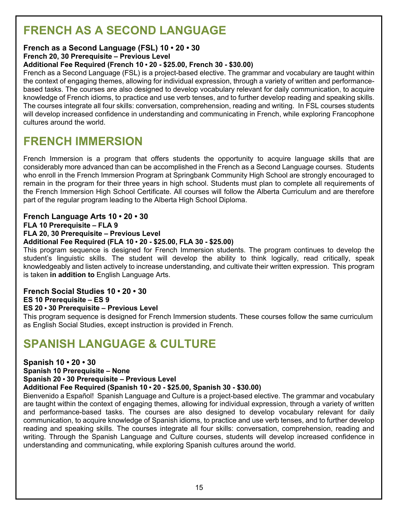# **FRENCH AS A SECOND LANGUAGE**

#### **French as a Second Language (FSL) 10 • 20 • 30**

**French 20, 30 Prerequisite – Previous Level**

#### **Additional Fee Required (French 10 • 20 - \$25.00, French 30 - \$30.00)**

French as a Second Language (FSL) is a project-based elective. The grammar and vocabulary are taught within the context of engaging themes, allowing for individual expression, through a variety of written and performancebased tasks. The courses are also designed to develop vocabulary relevant for daily communication, to acquire knowledge of French idioms, to practice and use verb tenses, and to further develop reading and speaking skills. The courses integrate all four skills: conversation, comprehension, reading and writing. In FSL courses students will develop increased confidence in understanding and communicating in French, while exploring Francophone cultures around the world.

### **FRENCH IMMERSION**

French Immersion is a program that offers students the opportunity to acquire language skills that are considerably more advanced than can be accomplished in the French as a Second Language courses. Students who enroll in the French Immersion Program at Springbank Community High School are strongly encouraged to remain in the program for their three years in high school. Students must plan to complete all requirements of the French Immersion High School Certificate. All courses will follow the Alberta Curriculum and are therefore part of the regular program leading to the Alberta High School Diploma.

#### **French Language Arts 10 • 20 • 30**

**FLA 10 Prerequisite – FLA 9**

#### **FLA 20, 30 Prerequisite – Previous Level**

#### **Additional Fee Required (FLA 10 • 20 - \$25.00, FLA 30 - \$25.00)**

This program sequence is designed for French Immersion students. The program continues to develop the student's linguistic skills. The student will develop the ability to think logically, read critically, speak knowledgeably and listen actively to increase understanding, and cultivate their written expression. This program is taken **in addition to** English Language Arts.

#### **French Social Studies 10 • 20 • 30 ES 10 Prerequisite – ES 9**

#### **ES 20 • 30 Prerequisite – Previous Level**

This program sequence is designed for French Immersion students. These courses follow the same curriculum as English Social Studies, except instruction is provided in French.

# **SPANISH LANGUAGE & CULTURE**

#### **Spanish 10 • 20 • 30**

#### **Spanish 10 Prerequisite – None**

**Spanish 20 • 30 Prerequisite – Previous Level**

#### **Additional Fee Required (Spanish 10 • 20 - \$25.00, Spanish 30 - \$30.00)**

Bienvenido a Español! Spanish Language and Culture is a project-based elective. The grammar and vocabulary are taught within the context of engaging themes, allowing for individual expression, through a variety of written and performance-based tasks. The courses are also designed to develop vocabulary relevant for daily communication, to acquire knowledge of Spanish idioms, to practice and use verb tenses, and to further develop reading and speaking skills. The courses integrate all four skills: conversation, comprehension, reading and writing. Through the Spanish Language and Culture courses, students will develop increased confidence in understanding and communicating, while exploring Spanish cultures around the world.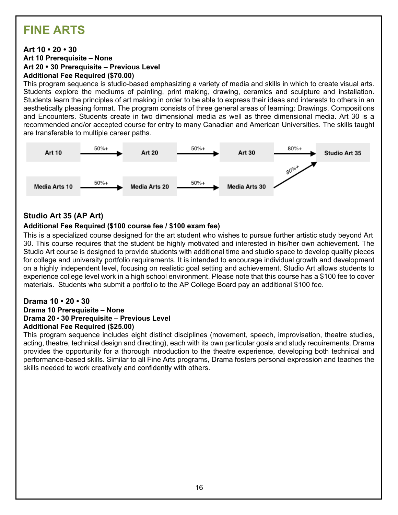# **FINE ARTS**

#### **Art 10 • 20 • 30**

**Art 10 Prerequisite – None Art 20 • 30 Prerequisite – Previous Level Additional Fee Required (\$70.00)**

This program sequence is studio-based emphasizing a variety of media and skills in which to create visual arts. Students explore the mediums of painting, print making, drawing, ceramics and sculpture and installation. Students learn the principles of art making in order to be able to express their ideas and interests to others in an aesthetically pleasing format. The program consists of three general areas of learning: Drawings, Compositions and Encounters. Students create in two dimensional media as well as three dimensional media. Art 30 is a recommended and/or accepted course for entry to many Canadian and American Universities. The skills taught are transferable to multiple career paths.



#### **Studio Art 35 (AP Art)**

#### **Additional Fee Required (\$100 course fee / \$100 exam fee)**

This is a specialized course designed for the art student who wishes to pursue further artistic study beyond Art 30. This course requires that the student be highly motivated and interested in his/her own achievement. The Studio Art course is designed to provide students with additional time and studio space to develop quality pieces for college and university portfolio requirements. It is intended to encourage individual growth and development on a highly independent level, focusing on realistic goal setting and achievement. Studio Art allows students to experience college level work in a high school environment. Please note that this course has a \$100 fee to cover materials. Students who submit a portfolio to the AP College Board pay an additional \$100 fee.

#### **Drama 10 • 20 • 30**

#### **Drama 10 Prerequisite – None Drama 20 • 30 Prerequisite – Previous Level Additional Fee Required (\$25.00)**

This program sequence includes eight distinct disciplines (movement, speech, improvisation, theatre studies, acting, theatre, technical design and directing), each with its own particular goals and study requirements. Drama provides the opportunity for a thorough introduction to the theatre experience, developing both technical and performance-based skills. Similar to all Fine Arts programs, Drama fosters personal expression and teaches the skills needed to work creatively and confidently with others.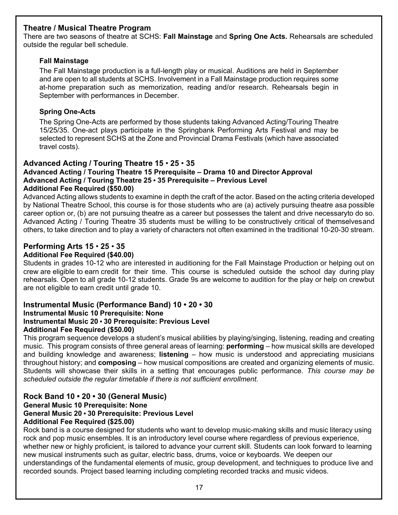#### **Theatre / Musical Theatre Program**

There are two seasons of theatre at SCHS: **Fall Mainstage** and **Spring One Acts.** Rehearsals are scheduled outside the regular bell schedule.

#### **Fall Mainstage**

The Fall Mainstage production is a full-length play or musical. Auditions are held in September and are open to all students at SCHS. Involvement in a Fall Mainstage production requires some at-home preparation such as memorization, reading and/or research. Rehearsals begin in September with performances in December.

#### **Spring One-Acts**

The Spring One-Acts are performed by those students taking Advanced Acting/Touring Theatre 15/25/35. One-act plays participate in the Springbank Performing Arts Festival and may be selected to represent SCHS at the Zone and Provincial Drama Festivals (which have associated travel costs).

#### **Advanced Acting / Touring Theatre 15** • **25** • **35**

#### **Advanced Acting / Touring Theatre 15 Prerequisite – Drama 10 and Director Approval Advanced Acting / Touring Theatre 25 • 35 Prerequisite – Previous Level**

#### **Additional Fee Required (\$50.00)**

Advanced Acting allows students to examine in depth the craft of the actor. Based on the acting criteria developed by National Theatre School, this course is for those students who are (a) actively pursuing theatre asa possible career option or, (b) are not pursuing theatre as a career but possesses the talent and drive necessaryto do so. Advanced Acting / Touring Theatre 35 students must be willing to be constructively critical of themselvesand others, to take direction and to play a variety of characters not often examined in the traditional 10-20-30 stream.

#### **Performing Arts 15** • **25** • **35**

#### **Additional Fee Required (\$40.00)**

Students in grades 10-12 who are interested in auditioning for the Fall Mainstage Production or helping out on crew are eligible to earn credit for their time. This course is scheduled outside the school day during play rehearsals. Open to all grade 10-12 students. Grade 9s are welcome to audition for the play or help on crewbut are not eligible to earn credit until grade 10.

#### **Instrumental Music (Performance Band) 10 • 20 • 30 Instrumental Music 10 Prerequisite: None Instrumental Music 20 • 30 Prerequisite: Previous Level Additional Fee Required (\$50.00)**

This program sequence develops a student's musical abilities by playing/singing, listening, reading and creating music. This program consists of three general areas of learning: **performing** – how musical skills are developed and building knowledge and awareness; **listening** – how music is understood and appreciating musicians throughout history; and **composing** – how musical compositions are created and organizing elements of music. Students will showcase their skills in a setting that encourages public performance. *This course may be scheduled outside the regular timetable if there is not sufficient enrollment.*

#### **Rock Band 10 • 20 • 30 (General Music) General Music 10 Prerequisite: None**

#### **General Music 20 • 30 Prerequisite: Previous Level**

#### **Additional Fee Required (\$25.00)**

Rock band is a course designed for students who want to develop music-making skills and music literacy using rock and pop music ensembles. It is an introductory level course where regardless of previous experience, whether new or highly proficient, is tailored to advance your current skill. Students can look forward to learning new musical instruments such as guitar, electric bass, drums, voice or keyboards. We deepen our understandings of the fundamental elements of music, group development, and techniques to produce live and recorded sounds. Project based learning including completing recorded tracks and music videos.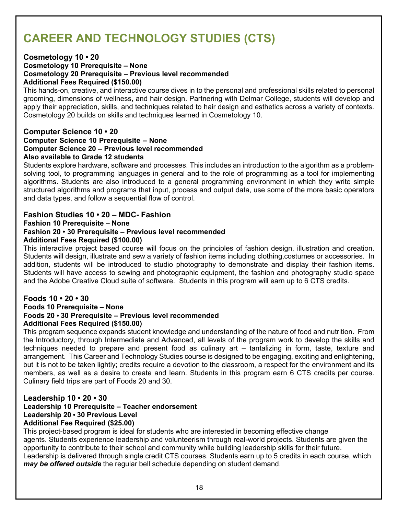# **CAREER AND TECHNOLOGY STUDIES (CTS)**

#### **Cosmetology 10 • 20**

#### **Cosmetology 10 Prerequisite – None Cosmetology 20 Prerequisite – Previous level recommended Additional Fees Required (\$150.00)**

This hands-on, creative, and interactive course dives in to the personal and professional skills related to personal grooming, dimensions of wellness, and hair design. Partnering with Delmar College, students will develop and apply their appreciation, skills, and techniques related to hair design and esthetics across a variety of contexts. Cosmetology 20 builds on skills and techniques learned in Cosmetology 10.

#### **Computer Science 10 • 20**

#### **Computer Science 10 Prerequisite – None Computer Science 20 – Previous level recommended Also available to Grade 12 students**

Students explore hardware, software and processes. This includes an introduction to the algorithm as a problemsolving tool, to programming languages in general and to the role of programming as a tool for implementing algorithms. Students are also introduced to a general programming environment in which they write simple structured algorithms and programs that input, process and output data, use some of the more basic operators and data types, and follow a sequential flow of control.

#### **Fashion Studies 10 • 20 – MDC- Fashion**

**Fashion 10 Prerequisite – None**

#### **Fashion 20 • 30 Prerequisite – Previous level recommended**

#### **Additional Fees Required (\$100.00)**

This interactive project based course will focus on the principles of fashion design, illustration and creation. Students will design, illustrate and sew a variety of fashion items including clothing,costumes or accessories. In addition, students will be introduced to studio photography to demonstrate and display their fashion items. Students will have access to sewing and photographic equipment, the fashion and photography studio space and the Adobe Creative Cloud suite of software. Students in this program will earn up to 6 CTS credits.

#### **Foods 10 • 20 • 30**

#### **Foods 10 Prerequisite – None Foods 20 • 30 Prerequisite – Previous level recommended Additional Fees Required (\$150.00)**

This program sequence expands student knowledge and understanding of the nature of food and nutrition. From the Introductory, through Intermediate and Advanced, all levels of the program work to develop the skills and techniques needed to prepare and present food as culinary art – tantalizing in form, taste, texture and arrangement. This Career and Technology Studies course is designed to be engaging, exciting and enlightening, but it is not to be taken lightly; credits require a devotion to the classroom, a respect for the environment and its members, as well as a desire to create and learn. Students in this program earn 6 CTS credits per course. Culinary field trips are part of Foods 20 and 30.

#### **Leadership 10 • 20 • 30**

#### **Leadership 10 Prerequisite – Teacher endorsement Leadership 20 • 30 Previous Level Additional Fee Required (\$25.00)**

This project-based program is ideal for students who are interested in becoming effective change agents. Students experience leadership and volunteerism through real-world projects. Students are given the opportunity to contribute to their school and community while building leadership skills for their future. Leadership is delivered through single credit CTS courses. Students earn up to 5 credits in each course, which *may be offered outside* the regular bell schedule depending on student demand.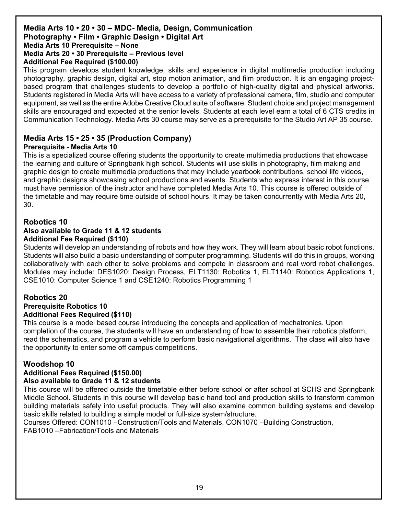#### **Media Arts 10 • 20 • 30 – MDC- Media, Design, Communication Photography • Film • Graphic Design • Digital Art Media Arts 10 Prerequisite – None Media Arts 20 • 30 Prerequisite – Previous level**

#### **Additional Fee Required (\$100.00)**

This program develops student knowledge, skills and experience in digital multimedia production including photography, graphic design, digital art, stop motion animation, and film production. It is an engaging projectbased program that challenges students to develop a portfolio of high-quality digital and physical artworks. Students registered in Media Arts will have access to a variety of professional camera, film, studio and computer equipment, as well as the entire Adobe Creative Cloud suite of software. Student choice and project management skills are encouraged and expected at the senior levels. Students at each level earn a total of 6 CTS credits in Communication Technology. Media Arts 30 course may serve as a prerequisite for the Studio Art AP 35 course.

#### **Media Arts 15 • 25 • 35 (Production Company)**

#### **Prerequisite - Media Arts 10**

This is a specialized course offering students the opportunity to create multimedia productions that showcase the learning and culture of Springbank high school. Students will use skills in photography, film making and graphic design to create multimedia productions that may include yearbook contributions, school life videos, and graphic designs showcasing school productions and events. Students who express interest in this course must have permission of the instructor and have completed Media Arts 10. This course is offered outside of the timetable and may require time outside of school hours. It may be taken concurrently with Media Arts 20, 30.

#### **Robotics 10 Also available to Grade 11 & 12 students Additional Fee Required (\$110)**

Students will develop an understanding of robots and how they work. They will learn about basic robot functions. Students will also build a basic understanding of computer programming. Students will do this in groups, working collaboratively with each other to solve problems and compete in classroom and real word robot challenges. Modules may include: DES1020: Design Process, ELT1130: Robotics 1, ELT1140: Robotics Applications 1, CSE1010: Computer Science 1 and CSE1240: Robotics Programming 1

#### **Robotics 20 Prerequisite Robotics 10 Additional Fees Required (\$110)**

This course is a model based course introducing the concepts and application of mechatronics. Upon completion of the course, the students will have an understanding of how to assemble their robotics platform, read the schematics, and program a vehicle to perform basic navigational algorithms. The class will also have the opportunity to enter some off campus competitions.

#### **Woodshop 10**

#### **Additional Fees Required (\$150.00)**

#### **Also available to Grade 11 & 12 students**

This course will be offered outside the timetable either before school or after school at SCHS and Springbank Middle School. Students in this course will develop basic hand tool and production skills to transform common building materials safely into useful products. They will also examine common building systems and develop basic skills related to building a simple model or full-size system/structure.

Courses Offered: CON1010 –Construction/Tools and Materials, CON1070 –Building Construction, FAB1010 –Fabrication/Tools and Materials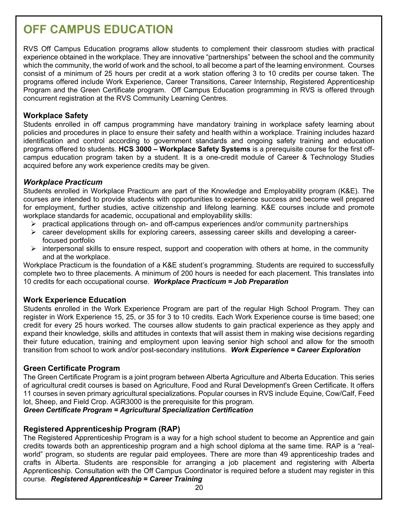# **OFF CAMPUS EDUCATION**

RVS Off Campus Education programs allow students to complement their classroom studies with practical experience obtained in the workplace. They are innovative "partnerships" between the school and the community which the community, the world of work and the school, to all become a part of the learning environment. Courses consist of a minimum of 25 hours per credit at a work station offering 3 to 10 credits per course taken. The programs offered include Work Experience, Career Transitions, Career Internship, Registered Apprenticeship Program and the Green Certificate program. Off Campus Education programming in RVS is offered through concurrent registration at the RVS Community Learning Centres.

#### **Workplace Safety**

Students enrolled in off campus programming have mandatory training in workplace safety learning about policies and procedures in place to ensure their safety and health within a workplace. Training includes hazard identification and control according to government standards and ongoing safety training and education programs offered to students. **HCS 3000 – Workplace Safety Systems** is a prerequisite course for the first offcampus education program taken by a student. It is a one-credit module of Career & Technology Studies acquired before any work experience credits may be given.

#### *Workplace Practicum*

Students enrolled in Workplace Practicum are part of the Knowledge and Employability program (K&E). The courses are intended to provide students with opportunities to experience success and become well prepared for employment, further studies, active citizenship and lifelong learning. K&E courses include and promote workplace standards for academic, occupational and employability skills:

- $\triangleright$  practical applications through on- and off-campus experiences and/or community partnerships
- $\triangleright$  career development skills for exploring careers, assessing career skills and developing a careerfocused portfolio
- $\triangleright$  interpersonal skills to ensure respect, support and cooperation with others at home, in the community and at the workplace.

Workplace Practicum is the foundation of a K&E student's programming. Students are required to successfully complete two to three placements. A minimum of 200 hours is needed for each placement. This translates into 10 credits for each occupational course. *Workplace Practicum = Job Preparation*

#### **Work Experience Education**

Students enrolled in the Work Experience Program are part of the regular High School Program. They can register in Work Experience 15, 25, or 35 for 3 to 10 credits. Each Work Experience course is time based; one credit for every 25 hours worked. The courses allow students to gain practical experience as they apply and expand their knowledge, skills and attitudes in contexts that will assist them in making wise decisions regarding their future education, training and employment upon leaving senior high school and allow for the smooth transition from school to work and/or post-secondary institutions. *Work Experience = Career Exploration*

#### **Green Certificate Program**

The Green Certificate Program is a joint program between Alberta Agriculture and Alberta Education. This series of agricultural credit courses is based on Agriculture, Food and Rural Development's Green Certificate. It offers 11 courses in seven primary agricultural specializations. Popular courses in RVS include Equine, Cow/Calf, Feed lot, Sheep, and Field Crop. AGR3000 is the prerequisite for this program.

*Green Certificate Program = Agricultural Specialization Certification*

#### **Registered Apprenticeship Program (RAP)**

The Registered Apprenticeship Program is a way for a high school student to become an Apprentice and gain credits towards both an apprenticeship program and a high school diploma at the same time. RAP is a "realworld" program, so students are regular paid employees. There are more than 49 apprenticeship trades and crafts in Alberta. Students are responsible for arranging a job placement and registering with Alberta Apprenticeship. Consultation with the Off Campus Coordinator is required before a student may register in this course. *Registered Apprenticeship = Career Training*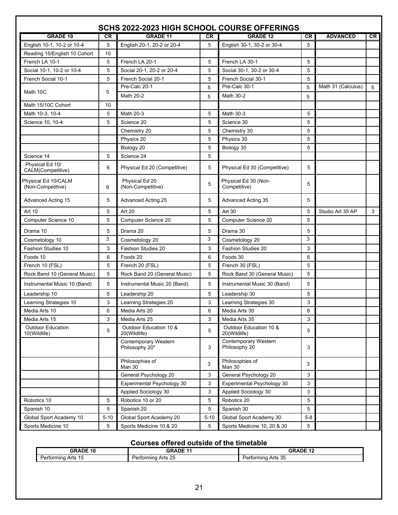| SCHS 2022-2023 HIGH SCHOOL COURSE OFFERINGS |           |                                        |          |                                        |           |                    |     |  |
|---------------------------------------------|-----------|----------------------------------------|----------|----------------------------------------|-----------|--------------------|-----|--|
| <b>GRADE 10</b>                             | <b>CR</b> | <b>GRADE 11</b>                        | CR       | <b>GRADE 12</b>                        | <b>CR</b> | <b>ADVANCED</b>    | CR. |  |
| English 10-1, 10-2 or 10-4                  | 5         | English 20-1, 20-2 or 20-4             | 5        | English 30-1, 30-2 or 30-4             | 5         |                    |     |  |
| Reading 15/English 10 Cohort                | 10        |                                        |          |                                        |           |                    |     |  |
| French LA 10-1                              | 5         | French LA 20-1                         | 5        | French LA 30-1                         | 5         |                    |     |  |
| Social 10-1, 10-2 or 10-4                   | 5         | Social 20-1, 20-2 or 20-4              | 5        | Social 30-1, 30-2 or 30-4              | 5         |                    |     |  |
| French Social 10-1                          | 5         | French Social 20-1                     | 5        | French Social 30-1                     | 5         |                    |     |  |
|                                             |           | Pre-Calc 20-1                          | 5        | Pre-Calc 30-1                          | 5         | Math 31 (Calculus) | 5   |  |
| Math 10C                                    | 5         | Math 20-2                              | 5        | Math 30-2                              | 5         |                    |     |  |
| Math 15/10C Cohort                          | 10        |                                        |          |                                        |           |                    |     |  |
| Math 10-3, 10-4                             | 5         | Math 20-3                              | 5        | Math 30-3                              | 5         |                    |     |  |
| Science 10, 10-4                            | 5         | Science 20                             | 5        | Science 30                             | 5         |                    |     |  |
|                                             |           | Chemistry 20                           | 5        | Chemistry 30                           | 5         |                    |     |  |
|                                             |           | Physics 20                             | 5        | Physics 30                             | 5         |                    |     |  |
|                                             |           | Biology 20                             | 5        | Biology 30                             | 5         |                    |     |  |
| Science 14                                  | 5         | Science 24                             | 5        |                                        |           |                    |     |  |
| Physical Ed 10/<br>CALM(Competitive)        | 6         | Physical Ed 20 (Competitive)           | 5        | Physical Ed 30 (Competitive)           | 5         |                    |     |  |
| Physical Ed 10/CALM<br>(Non-Competitive)    | 6         | Physical Ed 20<br>(Non-Competitive)    | 5        | Physical Ed 30 (Non-<br>Competitive)   | 5         |                    |     |  |
| Advanced Acting 15                          | 5         | Advanced Acting 25                     | 5        | Advanced Acting 35                     | 5         |                    |     |  |
| Art 10                                      | 5         | Art 20                                 | 5        | Art 30                                 | 5         | Studio Art 35 AP   | 3   |  |
| Computer Science 10                         | 5         | Computer Science 20                    | 5        | Computer Science 20                    | 5         |                    |     |  |
| Drama 10                                    | 5         | Drama 20                               | 5        | Drama 30                               | 5         |                    |     |  |
| Cosmetology 10                              | 3         | Cosmetology 20                         | 3        | Cosmetology 20                         | 3         |                    |     |  |
| <b>Fashion Studies 10</b>                   | 3         | <b>Fashion Studies 20</b>              | 3        | <b>Fashion Studies 20</b>              | 3         |                    |     |  |
| Foods 10                                    | 6         | Foods 20                               | 6        | Foods 30                               | 6         |                    |     |  |
| French 10 (FSL)                             | 5         | French 20 (FSL)                        | 5        | French 30 (FSL)                        | 5         |                    |     |  |
| Rock Band 10 (General Music)                | 5         | Rock Band 20 (General Music)           | 5        | Rock Band 30 (General Music)           | 5         |                    |     |  |
| Instrumental Music 10 (Band)                | 5         | Instrumental Music 20 (Band)           | 5        | Instrumental Music 30 (Band)           | 5         |                    |     |  |
| Leadership 10                               | 5         | Leadership 20                          | 5        | Leadership 30                          | 5         |                    |     |  |
| Learning Strategies 10                      | 3         | Learning Strategies 20                 | 3        | Learning Strategies 30                 | 3         |                    |     |  |
| Media Arts 10                               | 6         | Media Arts 20                          | 6        | Media Arts 30                          | 6         |                    |     |  |
| Media Arts 15                               | 3         | Media Arts 25                          | 3        | Media Arts 35                          | 3         |                    |     |  |
| <b>Outdoor Education</b><br>10(Wildlife)    | 5         | Outdoor Education 10 &<br>20(Wildlife) | 5        | Outdoor Education 10 &<br>20(Wildlife) | 5         |                    |     |  |
|                                             |           | Contemporary Western<br>Philosophy 20* | 3        | Contemporary Western<br>Philosophy 20  | 3         |                    |     |  |
|                                             |           | Philosophies of<br>Man 30              | 3        | Philosophies of<br>Man 30              | 3         |                    |     |  |
|                                             |           | General Psychology 20                  | 3        | General Psychology 20                  | 3         |                    |     |  |
|                                             |           | Experimental Psychology 30             | 3        | Experimental Psychology 30             | 3         |                    |     |  |
|                                             |           | Applied Sociology 30                   | 3        | Applied Sociology 30                   | 3         |                    |     |  |
| Robotics 10                                 | 5         | Robotics 10 or 20                      | 5        | Robotics 20                            | 5         |                    |     |  |
| Spanish 10                                  | 5         | Spanish 20                             | 5        | Spanish 30                             | 5         |                    |     |  |
| Global Sport Academy 10                     | $5 - 10$  | Global Sport Academy 20                | $5 - 10$ | Global Sport Academy 30                | $5-8$     |                    |     |  |
| Sports Medicine 10                          | 5         | Sports Medicine 10 & 20                | 5        | Sports Medicine 10, 20 & 30            | 5         |                    |     |  |

#### **Courses offered outside of the timetable**

| <b>GRADE 10</b>                   | <b>GRADE 11</b>              | <b>GRADE 12</b><br>. .                             |
|-----------------------------------|------------------------------|----------------------------------------------------|
| Arts<br>Performing.<br>1 L<br>ں ا | $\sim$<br>Performing Arts 25 | $\Omega$<br>ా Arts పం<br>`orming , .<br>Dart<br>미네 |